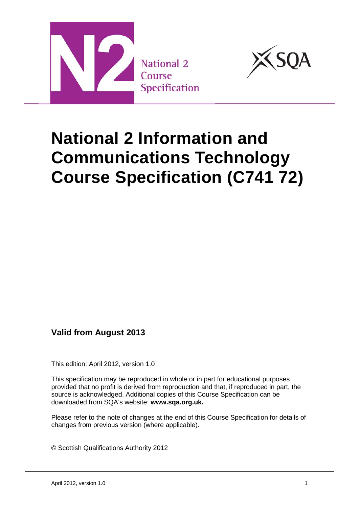



# **National 2 Information and Communications Technology Course Specification (C741 72)**

**Valid from August 2013** 

This edition: April 2012, version 1.0

This specification may be reproduced in whole or in part for educational purposes provided that no profit is derived from reproduction and that, if reproduced in part, the source is acknowledged. Additional copies of this Course Specification can be downloaded from SQA's website: **[www.sqa.org.uk.](http://www.sqa.org.uk/)**

Please refer to the note of changes at the end of this Course Specification for details of changes from previous version (where applicable).

© Scottish Qualifications Authority 2012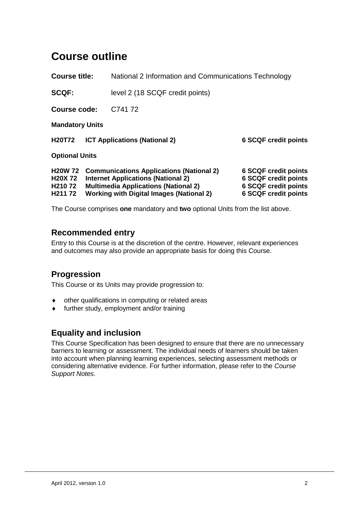## **Course outline**

**Course title:** National 2 Information and Communications Technology

**SCQF:** level 2 (18 SCQF credit points)

**Course code:** C741 72

**Mandatory Units**

**H20T72 ICT Applications (National 2) 6 SCQF credit points Optional Units**

|                     | <b>H20W 72 Communications Applications (National 2)</b> | <b>6 SCQF credit points</b> |
|---------------------|---------------------------------------------------------|-----------------------------|
|                     | <b>H20X 72</b> Internet Applications (National 2)       | <b>6 SCQF credit points</b> |
| H <sub>210</sub> 72 | <b>Multimedia Applications (National 2)</b>             | <b>6 SCQF credit points</b> |
| H <sub>211</sub> 72 | <b>Working with Digital Images (National 2)</b>         | <b>6 SCQF credit points</b> |

The Course comprises **one** mandatory and **two** optional Units from the list above.

### **Recommended entry**

Entry to this Course is at the discretion of the centre. However, relevant experiences and outcomes may also provide an appropriate basis for doing this Course.

## **Progression**

This Course or its Units may provide progression to:

- other qualifications in computing or related areas
- ♦ further study, employment and/or training

## **Equality and inclusion**

This Course Specification has been designed to ensure that there are no unnecessary barriers to learning or assessment. The individual needs of learners should be taken into account when planning learning experiences, selecting assessment methods or considering alternative evidence. For further information, please refer to the *Course Support Notes.*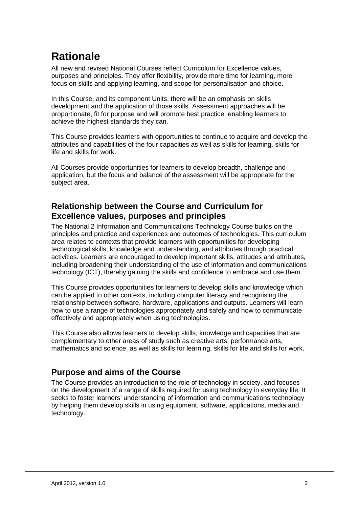## **Rationale**

All new and revised National Courses reflect Curriculum for Excellence values, purposes and principles. They offer flexibility, provide more time for learning, more focus on skills and applying learning, and scope for personalisation and choice.

In this Course, and its component Units, there will be an emphasis on skills development and the application of those skills. Assessment approaches will be proportionate, fit for purpose and will promote best practice, enabling learners to achieve the highest standards they can.

This Course provides learners with opportunities to continue to acquire and develop the attributes and capabilities of the four capacities as well as skills for learning, skills for life and skills for work.

All Courses provide opportunities for learners to develop breadth, challenge and application, but the focus and balance of the assessment will be appropriate for the subject area.

## **Relationship between the Course and Curriculum for Excellence values, purposes and principles**

The National 2 Information and Communications Technology Course builds on the principles and practice and experiences and outcomes of technologies. This curriculum area relates to contexts that provide learners with opportunities for developing technological skills, knowledge and understanding, and attributes through practical activities. Learners are encouraged to develop important skills, attitudes and attributes, including broadening their understanding of the use of information and communications technology (ICT), thereby gaining the skills and confidence to embrace and use them.

This Course provides opportunities for learners to develop skills and knowledge which can be applied to other contexts, including computer literacy and recognising the relationship between software, hardware, applications and outputs. Learners will learn how to use a range of technologies appropriately and safely and how to communicate effectively and appropriately when using technologies.

This Course also allows learners to develop skills, knowledge and capacities that are complementary to other areas of study such as creative arts, performance arts, mathematics and science, as well as skills for learning, skills for life and skills for work.

## **Purpose and aims of the Course**

The Course provides an introduction to the role of technology in society, and focuses on the development of a range of skills required for using technology in everyday life. It seeks to foster learners' understanding of information and communications technology by helping them develop skills in using equipment, software, applications, media and technology.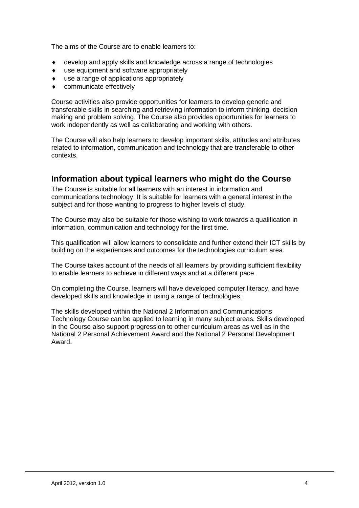The aims of the Course are to enable learners to:

- develop and apply skills and knowledge across a range of technologies
- ♦ use equipment and software appropriately
- use a range of applications appropriately
- communicate effectively

Course activities also provide opportunities for learners to develop generic and transferable skills in searching and retrieving information to inform thinking, decision making and problem solving. The Course also provides opportunities for learners to work independently as well as collaborating and working with others.

The Course will also help learners to develop important skills, attitudes and attributes related to information, communication and technology that are transferable to other contexts.

### **Information about typical learners who might do the Course**

The Course is suitable for all learners with an interest in information and communications technology. It is suitable for learners with a general interest in the subject and for those wanting to progress to higher levels of study.

The Course may also be suitable for those wishing to work towards a qualification in information, communication and technology for the first time.

This qualification will allow learners to consolidate and further extend their ICT skills by building on the experiences and outcomes for the technologies curriculum area.

The Course takes account of the needs of all learners by providing sufficient flexibility to enable learners to achieve in different ways and at a different pace.

On completing the Course, learners will have developed computer literacy, and have developed skills and knowledge in using a range of technologies.

The skills developed within the National 2 Information and Communications Technology Course can be applied to learning in many subject areas. Skills developed in the Course also support progression to other curriculum areas as well as in the National 2 Personal Achievement Award and the National 2 Personal Development Award.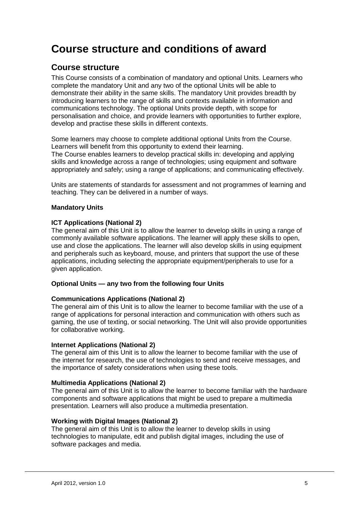## **Course structure and conditions of award**

### **Course structure**

This Course consists of a combination of mandatory and optional Units. Learners who complete the mandatory Unit and any two of the optional Units will be able to demonstrate their ability in the same skills. The mandatory Unit provides breadth by introducing learners to the range of skills and contexts available in information and communications technology. The optional Units provide depth, with scope for personalisation and choice, and provide learners with opportunities to further explore, develop and practise these skills in different contexts.

Some learners may choose to complete additional optional Units from the Course. Learners will benefit from this opportunity to extend their learning. The Course enables learners to develop practical skills in: developing and applying skills and knowledge across a range of technologies; using equipment and software appropriately and safely; using a range of applications; and communicating effectively.

Units are statements of standards for assessment and not programmes of learning and teaching. They can be delivered in a number of ways.

#### **Mandatory Units**

#### **ICT Applications (National 2)**

The general aim of this Unit is to allow the learner to develop skills in using a range of commonly available software applications. The learner will apply these skills to open, use and close the applications. The learner will also develop skills in using equipment and peripherals such as keyboard, mouse, and printers that support the use of these applications, including selecting the appropriate equipment/peripherals to use for a given application.

#### **Optional Units — any two from the following four Units**

#### **Communications Applications (National 2)**

The general aim of this Unit is to allow the learner to become familiar with the use of a range of applications for personal interaction and communication with others such as gaming, the use of texting, or social networking. The Unit will also provide opportunities for collaborative working.

#### **Internet Applications (National 2)**

The general aim of this Unit is to allow the learner to become familiar with the use of the internet for research, the use of technologies to send and receive messages, and the importance of safety considerations when using these tools.

#### **Multimedia Applications (National 2)**

The general aim of this Unit is to allow the learner to become familiar with the hardware components and software applications that might be used to prepare a multimedia presentation. Learners will also produce a multimedia presentation.

#### **Working with Digital Images (National 2)**

The general aim of this Unit is to allow the learner to develop skills in using technologies to manipulate, edit and publish digital images, including the use of software packages and media.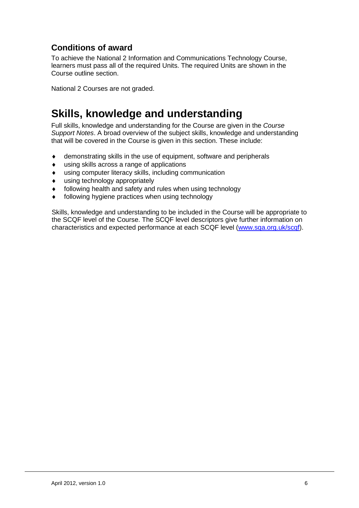## **Conditions of award**

To achieve the National 2 Information and Communications Technology Course, learners must pass all of the required Units. The required Units are shown in the Course outline section.

National 2 Courses are not graded.

## **Skills, knowledge and understanding**

Full skills, knowledge and understanding for the Course are given in the *Course Support Notes*. A broad overview of the subject skills, knowledge and understanding that will be covered in the Course is given in this section. These include:

- ♦ demonstrating skills in the use of equipment, software and peripherals
- ♦ using skills across a range of applications
- ♦ using computer literacy skills, including communication
- ♦ using technology appropriately
- ♦ following health and safety and rules when using technology
- ♦ following hygiene practices when using technology

Skills, knowledge and understanding to be included in the Course will be appropriate to the SCQF level of the Course. The SCQF level descriptors give further information on characteristics and expected performance at each SCQF level [\(www.sqa.org.uk/scqf\)](http://www.sqa.org.uk/sqa/4595.html).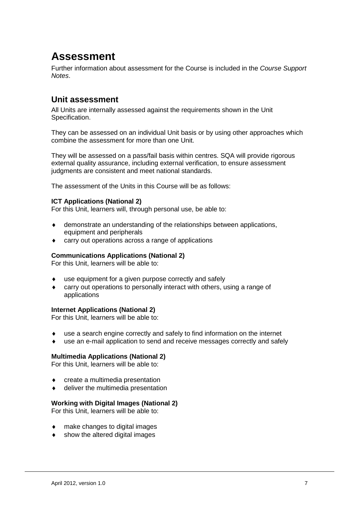## **Assessment**

Further information about assessment for the Course is included in the *Course Support Notes*.

### **Unit assessment**

All Units are internally assessed against the requirements shown in the Unit Specification.

They can be assessed on an individual Unit basis or by using other approaches which combine the assessment for more than one Unit.

They will be assessed on a pass/fail basis within centres. SQA will provide rigorous external quality assurance, including external verification, to ensure assessment judgments are consistent and meet national standards.

The assessment of the Units in this Course will be as follows:

#### **ICT Applications (National 2)**

For this Unit, learners will, through personal use, be able to:

- demonstrate an understanding of the relationships between applications, equipment and peripherals
- carry out operations across a range of applications

#### **Communications Applications (National 2)**

For this Unit, learners will be able to:

- use equipment for a given purpose correctly and safely
- ♦ carry out operations to personally interact with others, using a range of applications

#### **Internet Applications (National 2)**

For this Unit, learners will be able to:

- use a search engine correctly and safely to find information on the internet
- use an e-mail application to send and receive messages correctly and safely

#### **Multimedia Applications (National 2)**

For this Unit, learners will be able to:

- ♦ create a multimedia presentation
- deliver the multimedia presentation

#### **Working with Digital Images (National 2)**

For this Unit, learners will be able to:

- make changes to digital images
- show the altered digital images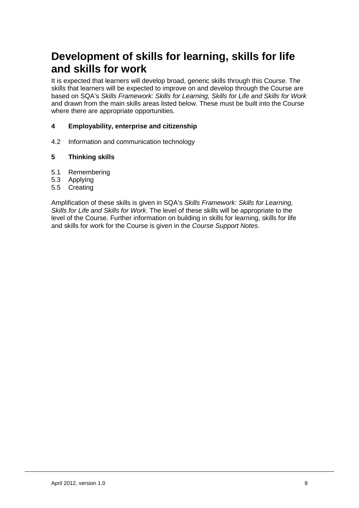## **Development of skills for learning, skills for life and skills for work**

It is expected that learners will develop broad, generic skills through this Course. The skills that learners will be expected to improve on and develop through the Course are based on SQA's *Skills Framework: Skills for Learning, Skills for Life and Skills for Work* and drawn from the main skills areas listed below. These must be built into the Course where there are appropriate opportunities.

#### **4 Employability, enterprise and citizenship**

4.2 Information and communication technology

#### **5 Thinking skills**

- 5.1 Remembering
- 5.3 Applying
- 5.5 Creating

Amplification of these skills is given in SQA's *Skills Framework: Skills for Learning, Skills for Life and Skills for Work*. The level of these skills will be appropriate to the level of the Course. Further information on building in skills for learning, skills for life and skills for work for the Course is given in the *Course Support Notes*.